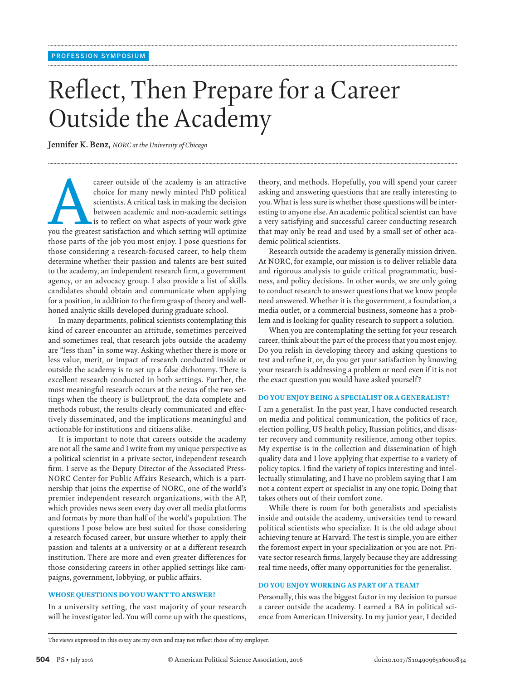# Reflect, Then Prepare for a Career Outside the Academy

**........................................................................................................................................................................................................................................................................................................**

**........................................................................................................................................................................................................................................................................................................**

**........................................................................................................................................................................................................................................................................................................**

 **Jennifer K. Benz ,** *NORC at the University of Chicago* 

career outside of the academy is an attractive<br>
choice for many newly minted PhD political<br>
scientists. A critical task in making the decision<br>
between academic and non-academic settings<br>
is to reflect on what aspects of y choice for many newly minted PhD political scientists. A critical task in making the decision between academic and non-academic settings is to reflect on what aspects of your work give those parts of the job you most enjoy. I pose questions for those considering a research-focused career, to help them determine whether their passion and talents are best suited to the academy, an independent research firm, a government agency, or an advocacy group. I also provide a list of skills candidates should obtain and communicate when applying for a position, in addition to the firm grasp of theory and wellhoned analytic skills developed during graduate school.

 In many departments, political scientists contemplating this kind of career encounter an attitude, sometimes perceived and sometimes real, that research jobs outside the academy are "less than" in some way. Asking whether there is more or less value, merit, or impact of research conducted inside or outside the academy is to set up a false dichotomy. There is excellent research conducted in both settings. Further, the most meaningful research occurs at the nexus of the two settings when the theory is bulletproof, the data complete and methods robust, the results clearly communicated and effectively disseminated, and the implications meaningful and actionable for institutions and citizens alike.

 It is important to note that careers outside the academy are not all the same and I write from my unique perspective as a political scientist in a private sector, independent research firm. I serve as the Deputy Director of the Associated Press-NORC Center for Public Affairs Research, which is a partnership that joins the expertise of NORC, one of the world's premier independent research organizations, with the AP, which provides news seen every day over all media platforms and formats by more than half of the world's population. The questions I pose below are best suited for those considering a research focused career, but unsure whether to apply their passion and talents at a university or at a different research institution. There are more and even greater differences for those considering careers in other applied settings like campaigns, government, lobbying, or public affairs.

# **WHOSE QUESTIONS DO YOU WANT TO ANSWER?**

 In a university setting, the vast majority of your research will be investigator led. You will come up with the questions, theory, and methods. Hopefully, you will spend your career asking and answering questions that are really interesting to you. What is less sure is whether those questions will be interesting to anyone else. An academic political scientist can have a very satisfying and successful career conducting research that may only be read and used by a small set of other academic political scientists.

 Research outside the academy is generally mission driven. At NORC, for example, our mission is to deliver reliable data and rigorous analysis to guide critical programmatic, business, and policy decisions. In other words, we are only going to conduct research to answer questions that we know people need answered. Whether it is the government, a foundation, a media outlet, or a commercial business, someone has a problem and is looking for quality research to support a solution.

 When you are contemplating the setting for your research career, think about the part of the process that you most enjoy. Do you relish in developing theory and asking questions to test and refine it, or, do you get your satisfaction by knowing your research is addressing a problem or need even if it is not the exact question you would have asked yourself?

#### **DO YOU ENJOY BEING A SPECIALIST OR A GENERALIST?**

 I am a generalist. In the past year, I have conducted research on media and political communication, the politics of race, election polling, US health policy, Russian politics, and disaster recovery and community resilience, among other topics. My expertise is in the collection and dissemination of high quality data and I love applying that expertise to a variety of policy topics. I find the variety of topics interesting and intellectually stimulating, and I have no problem saying that I am not a content expert or specialist in any one topic. Doing that takes others out of their comfort zone.

 While there is room for both generalists and specialists inside and outside the academy, universities tend to reward political scientists who specialize. It is the old adage about achieving tenure at Harvard: The test is simple, you are either the foremost expert in your specialization or you are not. Private sector research firms, largely because they are addressing real time needs, offer many opportunities for the generalist.

### **DO YOU ENJOY WORKING AS PART OF A TEAM?**

 Personally, this was the biggest factor in my decision to pursue a career outside the academy. I earned a BA in political science from American University. In my junior year, I decided

The views expressed in this essay are my own and may not reflect those of my employer.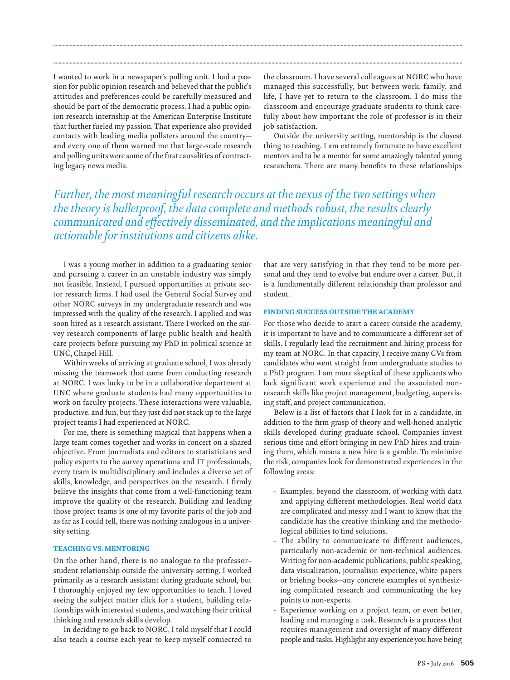I wanted to work in a newspaper's polling unit. I had a passion for public opinion research and believed that the public's attitudes and preferences could be carefully measured and should be part of the democratic process. I had a public opinion research internship at the American Enterprise Institute that further fueled my passion. That experience also provided contacts with leading media pollsters around the country and every one of them warned me that large-scale research and polling units were some of the first causalities of contracting legacy news media.

the classroom. I have several colleagues at NORC who have managed this successfully, but between work, family, and life, I have yet to return to the classroom. I do miss the classroom and encourage graduate students to think carefully about how important the role of professor is in their job satisfaction.

 Outside the university setting, mentorship is the closest thing to teaching. I am extremely fortunate to have excellent mentors and to be a mentor for some amazingly talented young researchers. There are many benefits to these relationships

Further, the most meaningful research occurs at the nexus of the two settings when *the theory is bulletproof, the data complete and methods robust, the results clearly communicated and effectively disseminated, and the implications meaningful and actionable for institutions and citizens alike.* 

**........................................................................................................................................................................................................................................................................................................**

**........................................................................................................................................................................................................................................................................................................**

 I was a young mother in addition to a graduating senior and pursuing a career in an unstable industry was simply not feasible. Instead, I pursued opportunities at private sector research firms. I had used the General Social Survey and other NORC surveys in my undergraduate research and was impressed with the quality of the research. I applied and was soon hired as a research assistant. There I worked on the survey research components of large public health and health care projects before pursuing my PhD in political science at UNC, Chapel Hill.

 Within weeks of arriving at graduate school, I was already missing the teamwork that came from conducting research at NORC. I was lucky to be in a collaborative department at UNC where graduate students had many opportunities to work on faculty projects. These interactions were valuable, productive, and fun, but they just did not stack up to the large project teams I had experienced at NORC.

 For me, there is something magical that happens when a large team comes together and works in concert on a shared objective. From journalists and editors to statisticians and policy experts to the survey operations and IT professionals, every team is multidisciplinary and includes a diverse set of skills, knowledge, and perspectives on the research. I firmly believe the insights that come from a well-functioning team improve the quality of the research. Building and leading those project teams is one of my favorite parts of the job and as far as I could tell, there was nothing analogous in a university setting.

# **TEACHING VS. MENTORING**

 On the other hand, there is no analogue to the professor– student relationship outside the university setting. I worked primarily as a research assistant during graduate school, but I thoroughly enjoyed my few opportunities to teach. I loved seeing the subject matter click for a student, building relationships with interested students, and watching their critical thinking and research skills develop.

 In deciding to go back to NORC, I told myself that I could also teach a course each year to keep myself connected to that are very satisfying in that they tend to be more personal and they tend to evolve but endure over a career. But, it is a fundamentally different relationship than professor and student.

#### **FINDING SUCCESS OUTSIDE THE ACADEMY**

 For those who decide to start a career outside the academy, it is important to have and to communicate a different set of skills. I regularly lead the recruitment and hiring process for my team at NORC. In that capacity, I receive many CVs from candidates who went straight from undergraduate studies to a PhD program. I am more skeptical of these applicants who lack significant work experience and the associated nonresearch skills like project management, budgeting, supervising staff, and project communication.

 Below is a list of factors that I look for in a candidate, in addition to the firm grasp of theory and well-honed analytic skills developed during graduate school. Companies invest serious time and effort bringing in new PhD hires and training them, which means a new hire is a gamble. To minimize the risk, companies look for demonstrated experiences in the following areas:

- Examples, beyond the classroom, of working with data and applying different methodologies. Real world data are complicated and messy and I want to know that the candidate has the creative thinking and the methodological abilities to find solutions.
- The ability to communicate to different audiences, particularly non-academic or non-technical audiences. Writing for non-academic publications, public speaking, data visualization, journalism experience, white papers or briefing books—any concrete examples of synthesizing complicated research and communicating the key points to non-experts.
- Experience working on a project team, or even better, leading and managing a task. Research is a process that requires management and oversight of many different people and tasks. Highlight any experience you have being